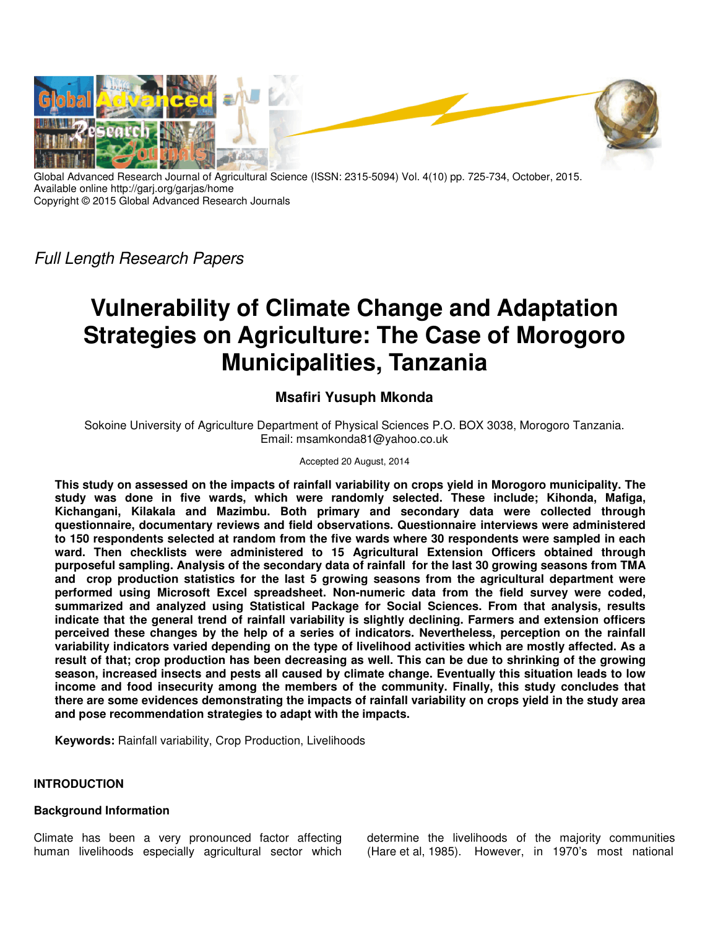

Global Advanced Research Journal of Agricultural Science (ISSN: 2315-5094) Vol. 4(10) pp. 725-734, October, 2015. Available online http://garj.org/garjas/home Copyright © 2015 Global Advanced Research Journals

*Full Length Research Papers*

# **Vulnerability of Climate Change and Adaptation Strategies on Agriculture: The Case of Morogoro Municipalities, Tanzania**

## **Msafiri Yusuph Mkonda**

Sokoine University of Agriculture Department of Physical Sciences P.O. BOX 3038, Morogoro Tanzania. Email: msamkonda81@yahoo.co.uk

#### Accepted 20 August, 2014

**This study on assessed on the impacts of rainfall variability on crops yield in Morogoro municipality. The study was done in five wards, which were randomly selected. These include; Kihonda, Mafiga, Kichangani, Kilakala and Mazimbu. Both primary and secondary data were collected through questionnaire, documentary reviews and field observations. Questionnaire interviews were administered to 150 respondents selected at random from the five wards where 30 respondents were sampled in each ward. Then checklists were administered to 15 Agricultural Extension Officers obtained through purposeful sampling. Analysis of the secondary data of rainfall for the last 30 growing seasons from TMA and crop production statistics for the last 5 growing seasons from the agricultural department were performed using Microsoft Excel spreadsheet. Non-numeric data from the field survey were coded, summarized and analyzed using Statistical Package for Social Sciences. From that analysis, results indicate that the general trend of rainfall variability is slightly declining. Farmers and extension officers perceived these changes by the help of a series of indicators. Nevertheless, perception on the rainfall variability indicators varied depending on the type of livelihood activities which are mostly affected. As a result of that; crop production has been decreasing as well. This can be due to shrinking of the growing season, increased insects and pests all caused by climate change. Eventually this situation leads to low income and food insecurity among the members of the community. Finally, this study concludes that there are some evidences demonstrating the impacts of rainfall variability on crops yield in the study area and pose recommendation strategies to adapt with the impacts.** 

**Keywords:** Rainfall variability, Crop Production, Livelihoods

#### **INTRODUCTION**

## **Background Information**

Climate has been a very pronounced factor affecting human livelihoods especially agricultural sector which determine the livelihoods of the majority communities (Hare et al, 1985). However, in 1970's most national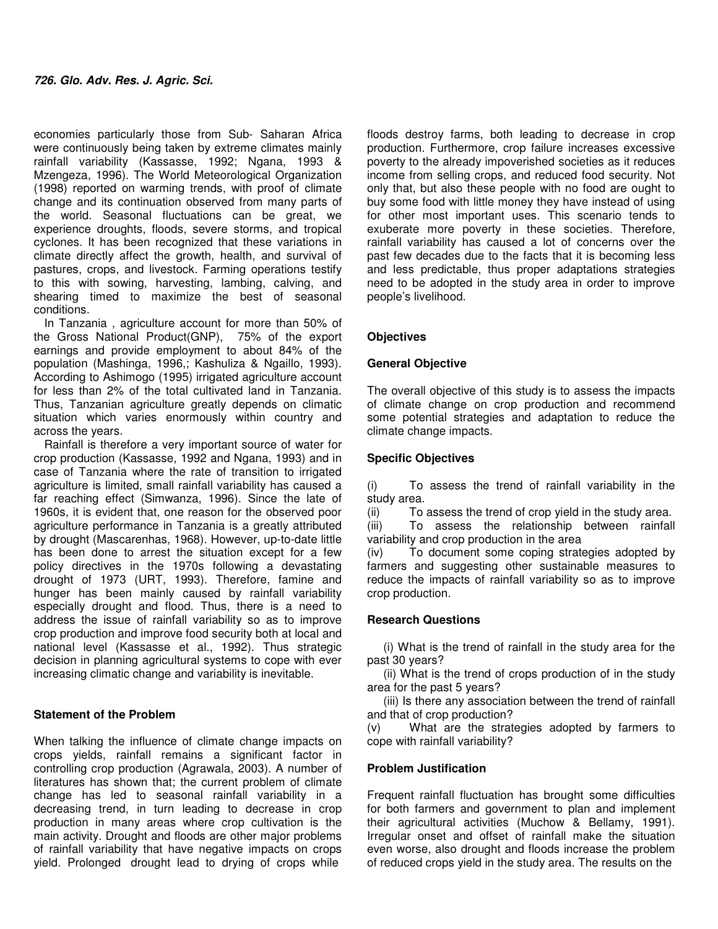economies particularly those from Sub- Saharan Africa were continuously being taken by extreme climates mainly rainfall variability (Kassasse, 1992; Ngana, 1993 & Mzengeza, 1996). The World Meteorological Organization (1998) reported on warming trends, with proof of climate change and its continuation observed from many parts of the world. Seasonal fluctuations can be great, we experience droughts, floods, severe storms, and tropical cyclones. It has been recognized that these variations in climate directly affect the growth, health, and survival of pastures, crops, and livestock. Farming operations testify to this with sowing, harvesting, lambing, calving, and shearing timed to maximize the best of seasonal conditions.

In Tanzania , agriculture account for more than 50% of the Gross National Product(GNP), 75% of the export earnings and provide employment to about 84% of the population (Mashinga, 1996,; Kashuliza & Ngaillo, 1993). According to Ashimogo (1995) irrigated agriculture account for less than 2% of the total cultivated land in Tanzania. Thus, Tanzanian agriculture greatly depends on climatic situation which varies enormously within country and across the years.

Rainfall is therefore a very important source of water for crop production (Kassasse, 1992 and Ngana, 1993) and in case of Tanzania where the rate of transition to irrigated agriculture is limited, small rainfall variability has caused a far reaching effect (Simwanza, 1996). Since the late of 1960s, it is evident that, one reason for the observed poor agriculture performance in Tanzania is a greatly attributed by drought (Mascarenhas, 1968). However, up-to-date little has been done to arrest the situation except for a few policy directives in the 1970s following a devastating drought of 1973 (URT, 1993). Therefore, famine and hunger has been mainly caused by rainfall variability especially drought and flood. Thus, there is a need to address the issue of rainfall variability so as to improve crop production and improve food security both at local and national level (Kassasse et al., 1992). Thus strategic decision in planning agricultural systems to cope with ever increasing climatic change and variability is inevitable.

## **Statement of the Problem**

When talking the influence of climate change impacts on crops yields, rainfall remains a significant factor in controlling crop production (Agrawala, 2003). A number of literatures has shown that; the current problem of climate change has led to seasonal rainfall variability in a decreasing trend, in turn leading to decrease in crop production in many areas where crop cultivation is the main activity. Drought and floods are other major problems of rainfall variability that have negative impacts on crops yield. Prolonged drought lead to drying of crops while

floods destroy farms, both leading to decrease in crop production. Furthermore, crop failure increases excessive poverty to the already impoverished societies as it reduces income from selling crops, and reduced food security. Not only that, but also these people with no food are ought to buy some food with little money they have instead of using for other most important uses. This scenario tends to exuberate more poverty in these societies. Therefore, rainfall variability has caused a lot of concerns over the past few decades due to the facts that it is becoming less and less predictable, thus proper adaptations strategies need to be adopted in the study area in order to improve people's livelihood.

## **Objectives**

#### **General Objective**

The overall objective of this study is to assess the impacts of climate change on crop production and recommend some potential strategies and adaptation to reduce the climate change impacts.

## **Specific Objectives**

(i) To assess the trend of rainfall variability in the study area.

(ii) To assess the trend of crop yield in the study area. (iii) To assess the relationship between rainfall variability and crop production in the area

(iv) To document some coping strategies adopted by farmers and suggesting other sustainable measures to reduce the impacts of rainfall variability so as to improve crop production.

## **Research Questions**

 (i) What is the trend of rainfall in the study area for the past 30 years?

 (ii) What is the trend of crops production of in the study area for the past 5 years?

 (iii) Is there any association between the trend of rainfall and that of crop production?

(v) What are the strategies adopted by farmers to cope with rainfall variability?

#### **Problem Justification**

Frequent rainfall fluctuation has brought some difficulties for both farmers and government to plan and implement their agricultural activities (Muchow & Bellamy, 1991). Irregular onset and offset of rainfall make the situation even worse, also drought and floods increase the problem of reduced crops yield in the study area. The results on the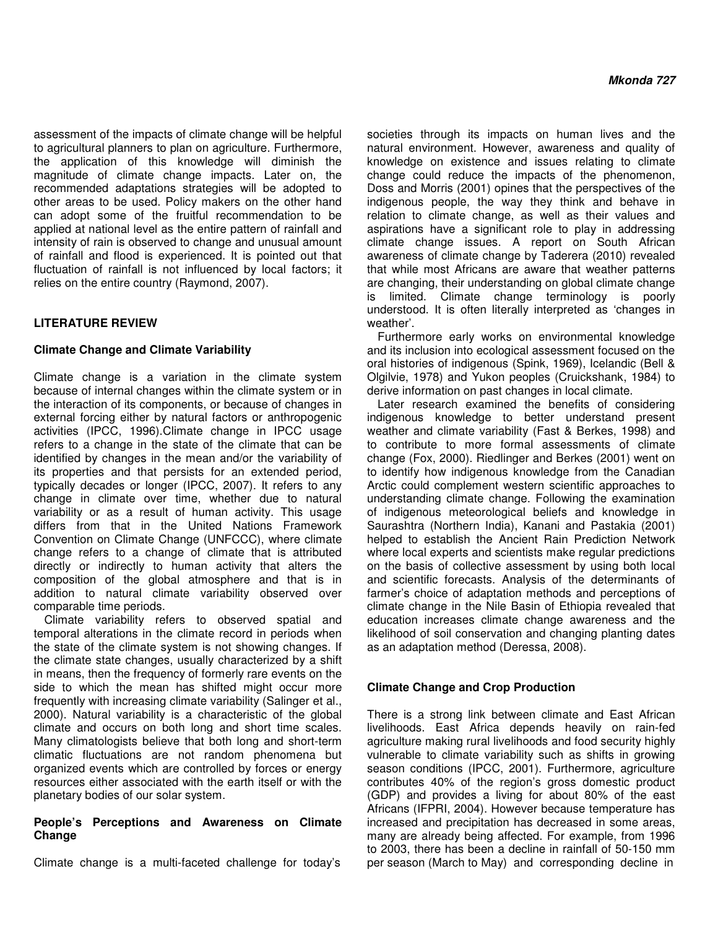assessment of the impacts of climate change will be helpful to agricultural planners to plan on agriculture. Furthermore, the application of this knowledge will diminish the magnitude of climate change impacts. Later on, the recommended adaptations strategies will be adopted to other areas to be used. Policy makers on the other hand can adopt some of the fruitful recommendation to be applied at national level as the entire pattern of rainfall and intensity of rain is observed to change and unusual amount of rainfall and flood is experienced. It is pointed out that fluctuation of rainfall is not influenced by local factors; it relies on the entire country (Raymond, 2007).

## **LITERATURE REVIEW**

#### **Climate Change and Climate Variability**

Climate change is a variation in the climate system because of internal changes within the climate system or in the interaction of its components, or because of changes in external forcing either by natural factors or anthropogenic activities (IPCC, 1996).Climate change in IPCC usage refers to a change in the state of the climate that can be identified by changes in the mean and/or the variability of its properties and that persists for an extended period, typically decades or longer (IPCC, 2007). It refers to any change in climate over time, whether due to natural variability or as a result of human activity. This usage differs from that in the United Nations Framework Convention on Climate Change (UNFCCC), where climate change refers to a change of climate that is attributed directly or indirectly to human activity that alters the composition of the global atmosphere and that is in addition to natural climate variability observed over comparable time periods.

Climate variability refers to observed spatial and temporal alterations in the climate record in periods when the state of the climate system is not showing changes. If the climate state changes, usually characterized by a shift in means, then the frequency of formerly rare events on the side to which the mean has shifted might occur more frequently with increasing climate variability (Salinger et al., 2000). Natural variability is a characteristic of the global climate and occurs on both long and short time scales. Many climatologists believe that both long and short-term climatic fluctuations are not random phenomena but organized events which are controlled by forces or energy resources either associated with the earth itself or with the planetary bodies of our solar system.

#### **People's Perceptions and Awareness on Climate Change**

Climate change is a multi-faceted challenge for today's

societies through its impacts on human lives and the natural environment. However, awareness and quality of knowledge on existence and issues relating to climate change could reduce the impacts of the phenomenon, Doss and Morris (2001) opines that the perspectives of the indigenous people, the way they think and behave in relation to climate change, as well as their values and aspirations have a significant role to play in addressing climate change issues. A report on South African awareness of climate change by Taderera (2010) revealed that while most Africans are aware that weather patterns are changing, their understanding on global climate change is limited. Climate change terminology is poorly understood. It is often literally interpreted as 'changes in weather'.

Furthermore early works on environmental knowledge and its inclusion into ecological assessment focused on the oral histories of indigenous (Spink, 1969), Icelandic (Bell & Olgilvie, 1978) and Yukon peoples (Cruickshank, 1984) to derive information on past changes in local climate.

Later research examined the benefits of considering indigenous knowledge to better understand present weather and climate variability (Fast & Berkes, 1998) and to contribute to more formal assessments of climate change (Fox, 2000). Riedlinger and Berkes (2001) went on to identify how indigenous knowledge from the Canadian Arctic could complement western scientific approaches to understanding climate change. Following the examination of indigenous meteorological beliefs and knowledge in Saurashtra (Northern India), Kanani and Pastakia (2001) helped to establish the Ancient Rain Prediction Network where local experts and scientists make regular predictions on the basis of collective assessment by using both local and scientific forecasts. Analysis of the determinants of farmer's choice of adaptation methods and perceptions of climate change in the Nile Basin of Ethiopia revealed that education increases climate change awareness and the likelihood of soil conservation and changing planting dates as an adaptation method (Deressa, 2008).

#### **Climate Change and Crop Production**

There is a strong link between climate and East African livelihoods. East Africa depends heavily on rain-fed agriculture making rural livelihoods and food security highly vulnerable to climate variability such as shifts in growing season conditions (IPCC, 2001). Furthermore, agriculture contributes 40% of the region's gross domestic product (GDP) and provides a living for about 80% of the east Africans (IFPRI, 2004). However because temperature has increased and precipitation has decreased in some areas, many are already being affected. For example, from 1996 to 2003, there has been a decline in rainfall of 50-150 mm per season (March to May) and corresponding decline in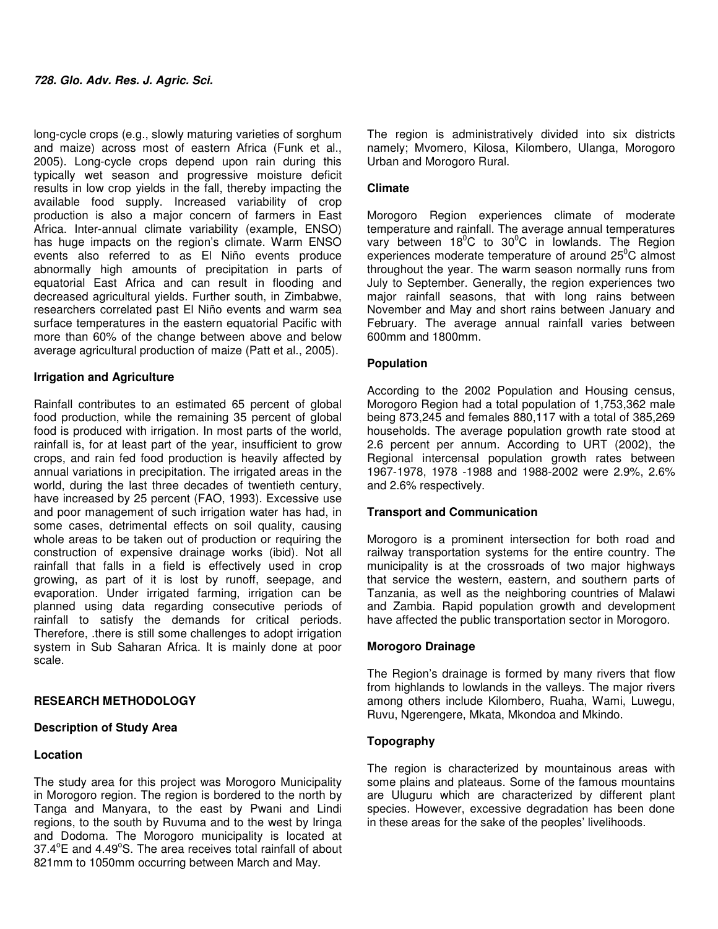long-cycle crops (e.g., slowly maturing varieties of sorghum and maize) across most of eastern Africa (Funk et al., 2005). Long-cycle crops depend upon rain during this typically wet season and progressive moisture deficit results in low crop yields in the fall, thereby impacting the available food supply. Increased variability of crop production is also a major concern of farmers in East Africa. Inter-annual climate variability (example, ENSO) has huge impacts on the region's climate. Warm ENSO events also referred to as El Niño events produce abnormally high amounts of precipitation in parts of equatorial East Africa and can result in flooding and decreased agricultural yields. Further south, in Zimbabwe, researchers correlated past El Niño events and warm sea surface temperatures in the eastern equatorial Pacific with more than 60% of the change between above and below average agricultural production of maize (Patt et al., 2005).

#### **Irrigation and Agriculture**

Rainfall contributes to an estimated 65 percent of global food production, while the remaining 35 percent of global food is produced with irrigation. In most parts of the world, rainfall is, for at least part of the year, insufficient to grow crops, and rain fed food production is heavily affected by annual variations in precipitation. The irrigated areas in the world, during the last three decades of twentieth century, have increased by 25 percent (FAO, 1993). Excessive use and poor management of such irrigation water has had, in some cases, detrimental effects on soil quality, causing whole areas to be taken out of production or requiring the construction of expensive drainage works (ibid). Not all rainfall that falls in a field is effectively used in crop growing, as part of it is lost by runoff, seepage, and evaporation. Under irrigated farming, irrigation can be planned using data regarding consecutive periods of rainfall to satisfy the demands for critical periods. Therefore, .there is still some challenges to adopt irrigation system in Sub Saharan Africa. It is mainly done at poor scale.

#### **RESEARCH METHODOLOGY**

#### **Description of Study Area**

#### **Location**

The study area for this project was Morogoro Municipality in Morogoro region. The region is bordered to the north by Tanga and Manyara, to the east by Pwani and Lindi regions, to the south by Ruvuma and to the west by Iringa and Dodoma. The Morogoro municipality is located at 37.4°E and 4.49°S. The area receives total rainfall of about 821mm to 1050mm occurring between March and May.

The region is administratively divided into six districts namely; Mvomero, Kilosa, Kilombero, Ulanga, Morogoro Urban and Morogoro Rural.

#### **Climate**

Morogoro Region experiences climate of moderate temperature and rainfall. The average annual temperatures vary between  $18^{\circ}$ C to  $30^{\circ}$ C in lowlands. The Region experiences moderate temperature of around  $25^{\circ}$ C almost throughout the year. The warm season normally runs from July to September. Generally, the region experiences two major rainfall seasons, that with long rains between November and May and short rains between January and February. The average annual rainfall varies between 600mm and 1800mm.

#### **Population**

According to the 2002 Population and Housing census, Morogoro Region had a total population of 1,753,362 male being 873,245 and females 880,117 with a total of 385,269 households. The average population growth rate stood at 2.6 percent per annum. According to URT (2002), the Regional intercensal population growth rates between 1967-1978, 1978 -1988 and 1988-2002 were 2.9%, 2.6% and 2.6% respectively.

#### **Transport and Communication**

Morogoro is a prominent intersection for both road and railway transportation systems for the entire country. The municipality is at the crossroads of two major highways that service the western, eastern, and southern parts of Tanzania, as well as the neighboring countries of Malawi and Zambia. Rapid population growth and development have affected the public transportation sector in Morogoro.

#### **Morogoro Drainage**

The Region's drainage is formed by many rivers that flow from highlands to lowlands in the valleys. The major rivers among others include Kilombero, Ruaha, Wami, Luwegu, Ruvu, Ngerengere, Mkata, Mkondoa and Mkindo.

#### **Topography**

The region is characterized by mountainous areas with some plains and plateaus. Some of the famous mountains are Uluguru which are characterized by different plant species. However, excessive degradation has been done in these areas for the sake of the peoples' livelihoods.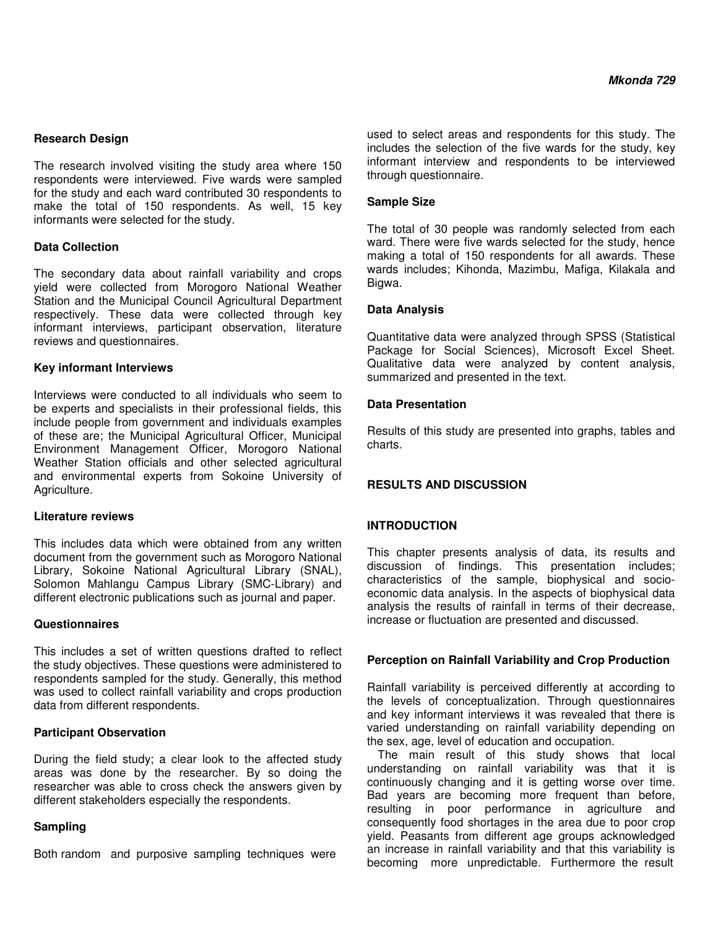#### **Research Design**

The research involved visiting the study area where 150 respondents were interviewed. Five wards were sampled for the study and each ward contributed 30 respondents to make the total of 150 respondents. As well, 15 key informants were selected for the study.

## **Data Collection**

The secondary data about rainfall variability and crops yield were collected from Morogoro National Weather Station and the Municipal Council Agricultural Department respectively. These data were collected through key informant interviews, participant observation, literature reviews and questionnaires.

## **Key informant Interviews**

Interviews were conducted to all individuals who seem to be experts and specialists in their professional fields, this include people from government and individuals examples of these are; the Municipal Agricultural Officer, Municipal Environment Management Officer, Morogoro National Weather Station officials and other selected agricultural and environmental experts from Sokoine University of Agriculture.

#### **Literature reviews**

This includes data which were obtained from any written document from the government such as Morogoro National Library, Sokoine National Agricultural Library (SNAL), Solomon Mahlangu Campus Library (SMC-Library) and different electronic publications such as journal and paper.

#### **Questionnaires**

This includes a set of written questions drafted to reflect the study objectives. These questions were administered to respondents sampled for the study. Generally, this method was used to collect rainfall variability and crops production data from different respondents.

## **Participant Observation**

During the field study; a clear look to the affected study areas was done by the researcher. By so doing the researcher was able to cross check the answers given by different stakeholders especially the respondents.

## **Sampling**

Both random and purposive sampling techniques were

used to select areas and respondents for this study. The includes the selection of the five wards for the study, key informant interview and respondents to be interviewed through questionnaire.

#### **Sample Size**

The total of 30 people was randomly selected from each ward. There were five wards selected for the study, hence making a total of 150 respondents for all awards. These wards includes; Kihonda, Mazimbu, Mafiga, Kilakala and Bigwa.

## **Data Analysis**

Quantitative data were analyzed through SPSS (Statistical Package for Social Sciences), Microsoft Excel Sheet. Qualitative data were analyzed by content analysis, summarized and presented in the text.

## **Data Presentation**

Results of this study are presented into graphs, tables and charts.

## **RESULTS AND DISCUSSION**

## **INTRODUCTION**

This chapter presents analysis of data, its results and discussion of findings. This presentation includes; characteristics of the sample, biophysical and socioeconomic data analysis. In the aspects of biophysical data analysis the results of rainfall in terms of their decrease, increase or fluctuation are presented and discussed.

#### **Perception on Rainfall Variability and Crop Production**

Rainfall variability is perceived differently at according to the levels of conceptualization. Through questionnaires and key informant interviews it was revealed that there is varied understanding on rainfall variability depending on the sex, age, level of education and occupation.

The main result of this study shows that local understanding on rainfall variability was that it is continuously changing and it is getting worse over time. Bad years are becoming more frequent than before, resulting in poor performance in agriculture and consequently food shortages in the area due to poor crop yield. Peasants from different age groups acknowledged an increase in rainfall variability and that this variability is becoming more unpredictable. Furthermore the result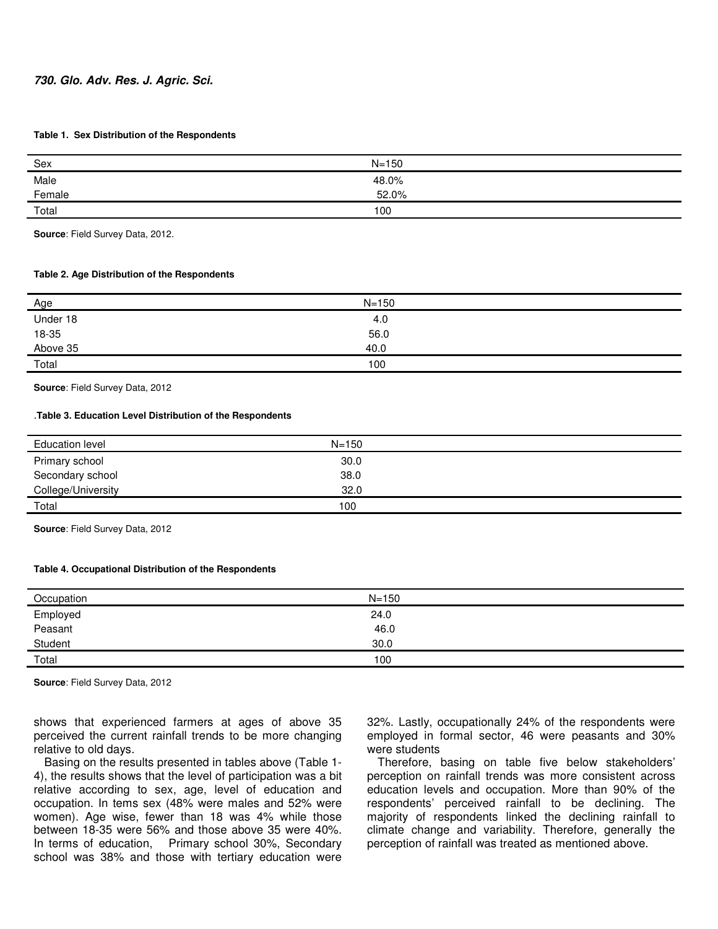#### **730. Glo. Adv. Res. J. Agric. Sci.**

#### **Table 1. Sex Distribution of the Respondents**

| Sex                        | $N = 150$ |
|----------------------------|-----------|
|                            | 48.0%     |
| Male<br>Female<br>________ | 52.0%     |
| Total                      | 100       |

**Source**: Field Survey Data, 2012.

#### **Table 2. Age Distribution of the Respondents**

| <u>Age</u>        | $N = 150$ |
|-------------------|-----------|
| Under 18          | 4.0       |
| 18-35<br>Above 35 | 56.0      |
|                   | 40.0      |
| Total             | 100       |

**Source**: Field Survey Data, 2012

#### .**Table 3. Education Level Distribution of the Respondents**

| <b>Education level</b> | $N = 150$ |  |
|------------------------|-----------|--|
|                        |           |  |
| Primary school         | 30.0      |  |
| Secondary school       | 38.0      |  |
|                        |           |  |
| College/University     | 32.0      |  |
|                        |           |  |
| Total                  | 100       |  |
|                        |           |  |

**Source**: Field Survey Data, 2012

#### **Table 4. Occupational Distribution of the Respondents**

| Occupation | $N = 150$ |  |
|------------|-----------|--|
| Employed   | 24.0      |  |
| Peasant    | 46.0      |  |
| Student    | 30.0      |  |
| Total      | 100       |  |

**Source**: Field Survey Data, 2012

shows that experienced farmers at ages of above 35 perceived the current rainfall trends to be more changing relative to old days.

Basing on the results presented in tables above (Table 1- 4), the results shows that the level of participation was a bit relative according to sex, age, level of education and occupation. In tems sex (48% were males and 52% were women). Age wise, fewer than 18 was 4% while those between 18-35 were 56% and those above 35 were 40%. In terms of education, Primary school 30%, Secondary school was 38% and those with tertiary education were

32%. Lastly, occupationally 24% of the respondents were employed in formal sector, 46 were peasants and 30% were students

Therefore, basing on table five below stakeholders' perception on rainfall trends was more consistent across education levels and occupation. More than 90% of the respondents' perceived rainfall to be declining. The majority of respondents linked the declining rainfall to climate change and variability. Therefore, generally the perception of rainfall was treated as mentioned above.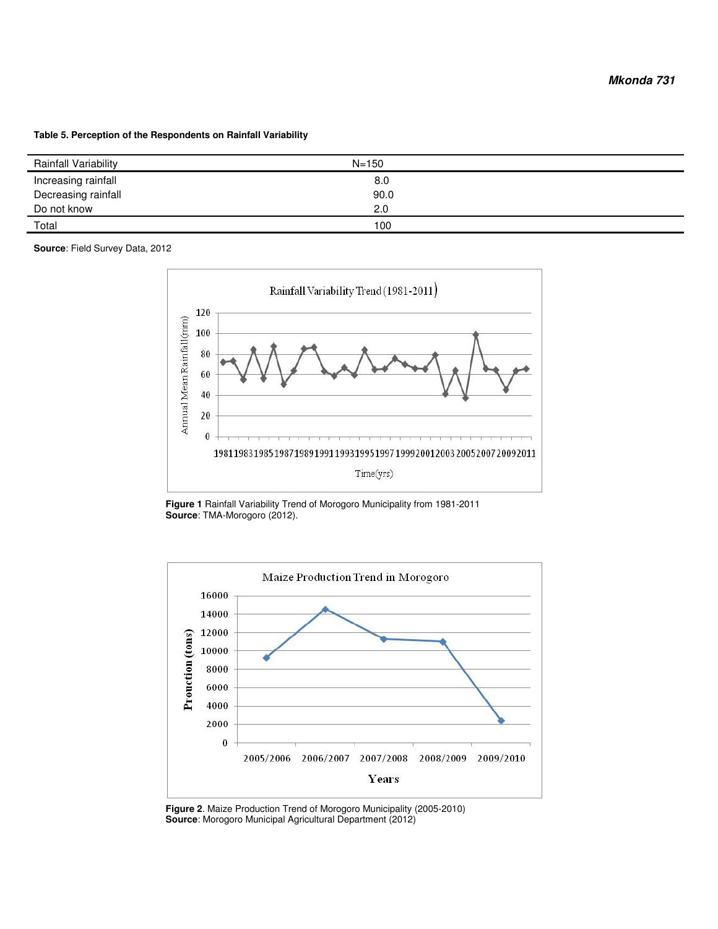**Table 5. Perception of the Respondents on Rainfall Variability** 

| Rainfall Variability | $N = 150$ |
|----------------------|-----------|
| Increasing rainfall  | 8.0       |
| Decreasing rainfall  | 90.0      |
| Do not know          | 2.0       |
| Total                | 100       |

**Source**: Field Survey Data, 2012



**Figure 1** Rainfall Variability Trend of Morogoro Municipality from 1981-2011 **Source**: TMA-Morogoro (2012).



**Figure 2**. Maize Production Trend of Morogoro Municipality (2005-2010) **Source**: Morogoro Municipal Agricultural Department (2012)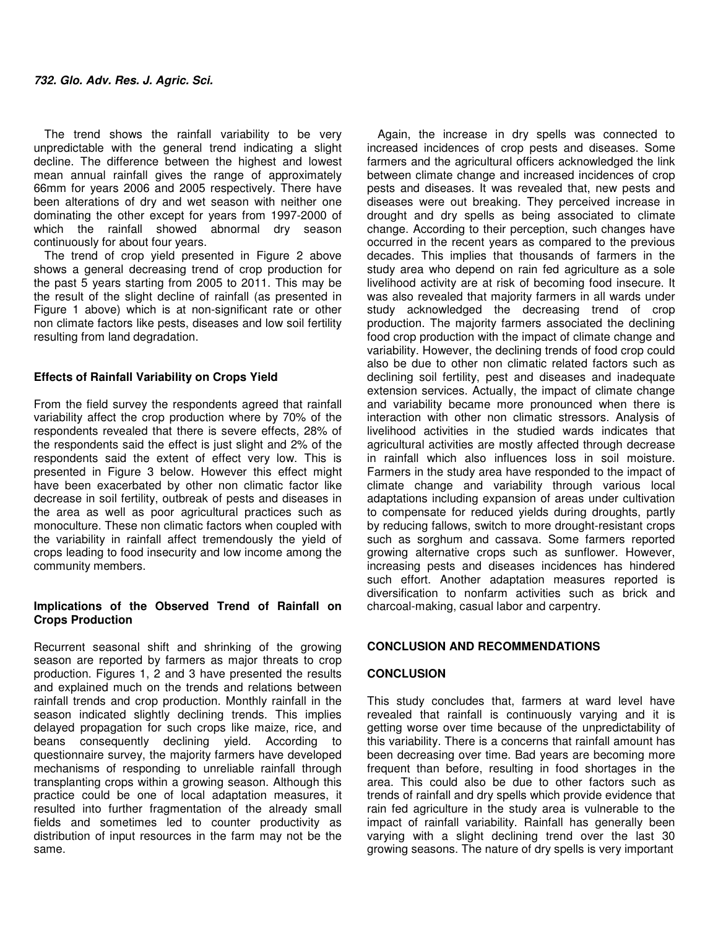The trend shows the rainfall variability to be very unpredictable with the general trend indicating a slight decline. The difference between the highest and lowest mean annual rainfall gives the range of approximately 66mm for years 2006 and 2005 respectively. There have been alterations of dry and wet season with neither one dominating the other except for years from 1997-2000 of which the rainfall showed abnormal dry season continuously for about four years.

The trend of crop yield presented in Figure 2 above shows a general decreasing trend of crop production for the past 5 years starting from 2005 to 2011. This may be the result of the slight decline of rainfall (as presented in Figure 1 above) which is at non-significant rate or other non climate factors like pests, diseases and low soil fertility resulting from land degradation.

#### **Effects of Rainfall Variability on Crops Yield**

From the field survey the respondents agreed that rainfall variability affect the crop production where by 70% of the respondents revealed that there is severe effects, 28% of the respondents said the effect is just slight and 2% of the respondents said the extent of effect very low. This is presented in Figure 3 below. However this effect might have been exacerbated by other non climatic factor like decrease in soil fertility, outbreak of pests and diseases in the area as well as poor agricultural practices such as monoculture. These non climatic factors when coupled with the variability in rainfall affect tremendously the yield of crops leading to food insecurity and low income among the community members.

## **Implications of the Observed Trend of Rainfall on Crops Production**

Recurrent seasonal shift and shrinking of the growing season are reported by farmers as major threats to crop production. Figures 1, 2 and 3 have presented the results and explained much on the trends and relations between rainfall trends and crop production. Monthly rainfall in the season indicated slightly declining trends. This implies delayed propagation for such crops like maize, rice, and beans consequently declining yield. According to questionnaire survey, the majority farmers have developed mechanisms of responding to unreliable rainfall through transplanting crops within a growing season. Although this practice could be one of local adaptation measures, it resulted into further fragmentation of the already small fields and sometimes led to counter productivity as distribution of input resources in the farm may not be the same.

Again, the increase in dry spells was connected to increased incidences of crop pests and diseases. Some farmers and the agricultural officers acknowledged the link between climate change and increased incidences of crop pests and diseases. It was revealed that, new pests and diseases were out breaking. They perceived increase in drought and dry spells as being associated to climate change. According to their perception, such changes have occurred in the recent years as compared to the previous decades. This implies that thousands of farmers in the study area who depend on rain fed agriculture as a sole livelihood activity are at risk of becoming food insecure. It was also revealed that majority farmers in all wards under study acknowledged the decreasing trend of crop production. The majority farmers associated the declining food crop production with the impact of climate change and variability. However, the declining trends of food crop could also be due to other non climatic related factors such as declining soil fertility, pest and diseases and inadequate extension services. Actually, the impact of climate change and variability became more pronounced when there is interaction with other non climatic stressors. Analysis of livelihood activities in the studied wards indicates that agricultural activities are mostly affected through decrease in rainfall which also influences loss in soil moisture. Farmers in the study area have responded to the impact of climate change and variability through various local adaptations including expansion of areas under cultivation to compensate for reduced yields during droughts, partly by reducing fallows, switch to more drought-resistant crops such as sorghum and cassava. Some farmers reported growing alternative crops such as sunflower. However, increasing pests and diseases incidences has hindered such effort. Another adaptation measures reported is diversification to nonfarm activities such as brick and charcoal-making, casual labor and carpentry.

#### **CONCLUSION AND RECOMMENDATIONS**

## **CONCLUSION**

This study concludes that, farmers at ward level have revealed that rainfall is continuously varying and it is getting worse over time because of the unpredictability of this variability. There is a concerns that rainfall amount has been decreasing over time. Bad years are becoming more frequent than before, resulting in food shortages in the area. This could also be due to other factors such as trends of rainfall and dry spells which provide evidence that rain fed agriculture in the study area is vulnerable to the impact of rainfall variability. Rainfall has generally been varying with a slight declining trend over the last 30 growing seasons. The nature of dry spells is very important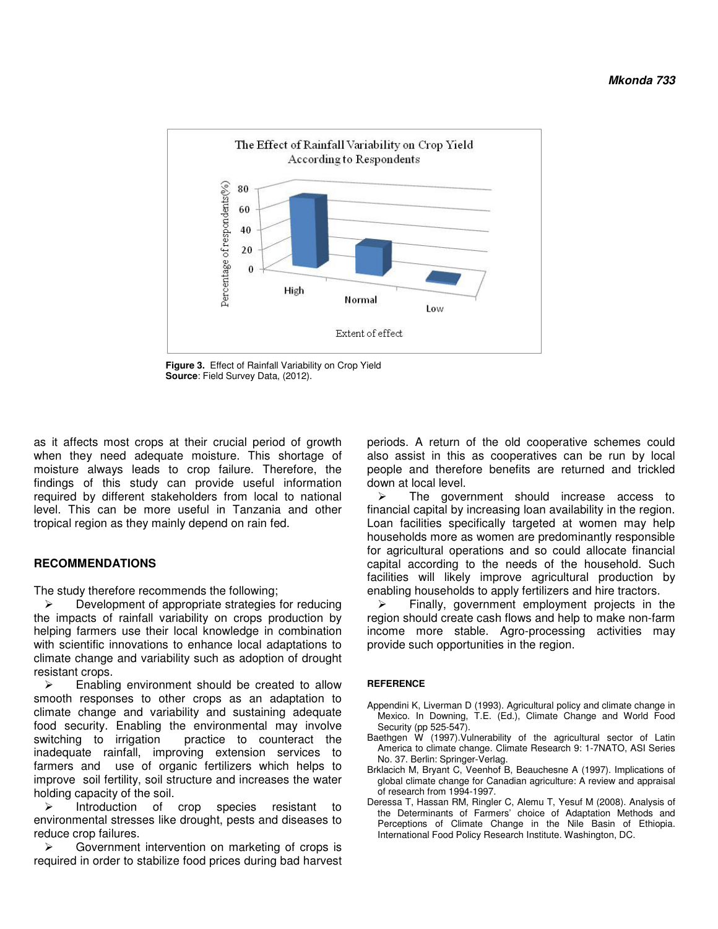

**Figure 3.** Effect of Rainfall Variability on Crop Yield **Source**: Field Survey Data, (2012).

as it affects most crops at their crucial period of growth when they need adequate moisture. This shortage of moisture always leads to crop failure. Therefore, the findings of this study can provide useful information required by different stakeholders from local to national level. This can be more useful in Tanzania and other tropical region as they mainly depend on rain fed.

#### **RECOMMENDATIONS**

The study therefore recommends the following;

 $\triangleright$  Development of appropriate strategies for reducing the impacts of rainfall variability on crops production by helping farmers use their local knowledge in combination with scientific innovations to enhance local adaptations to climate change and variability such as adoption of drought resistant crops.

 $\triangleright$  Enabling environment should be created to allow smooth responses to other crops as an adaptation to climate change and variability and sustaining adequate food security. Enabling the environmental may involve switching to irrigation practice to counteract the inadequate rainfall, improving extension services to farmers and use of organic fertilizers which helps to improve soil fertility, soil structure and increases the water holding capacity of the soil.

 $\triangleright$  Introduction of crop species resistant to environmental stresses like drought, pests and diseases to reduce crop failures.

 $\triangleright$  Government intervention on marketing of crops is required in order to stabilize food prices during bad harvest periods. A return of the old cooperative schemes could also assist in this as cooperatives can be run by local people and therefore benefits are returned and trickled down at local level.

 $\triangleright$  The government should increase access to financial capital by increasing loan availability in the region. Loan facilities specifically targeted at women may help households more as women are predominantly responsible for agricultural operations and so could allocate financial capital according to the needs of the household. Such facilities will likely improve agricultural production by enabling households to apply fertilizers and hire tractors.

 Finally, government employment projects in the region should create cash flows and help to make non-farm income more stable. Agro-processing activities may provide such opportunities in the region.

#### **REFERENCE**

- Appendini K, Liverman D (1993). Agricultural policy and climate change in Mexico. In Downing, T.E. (Ed.), Climate Change and World Food Security (pp 525-547).
- Baethgen W (1997). Vulnerability of the agricultural sector of Latin America to climate change. Climate Research 9: 1-7NATO, ASI Series No. 37. Berlin: Springer-Verlag.
- Brklacich M, Bryant C, Veenhof B, Beauchesne A (1997). Implications of global climate change for Canadian agriculture: A review and appraisal of research from 1994-1997.
- Deressa T, Hassan RM, Ringler C, Alemu T, Yesuf M (2008). Analysis of the Determinants of Farmers' choice of Adaptation Methods and Perceptions of Climate Change in the Nile Basin of Ethiopia. International Food Policy Research Institute. Washington, DC.